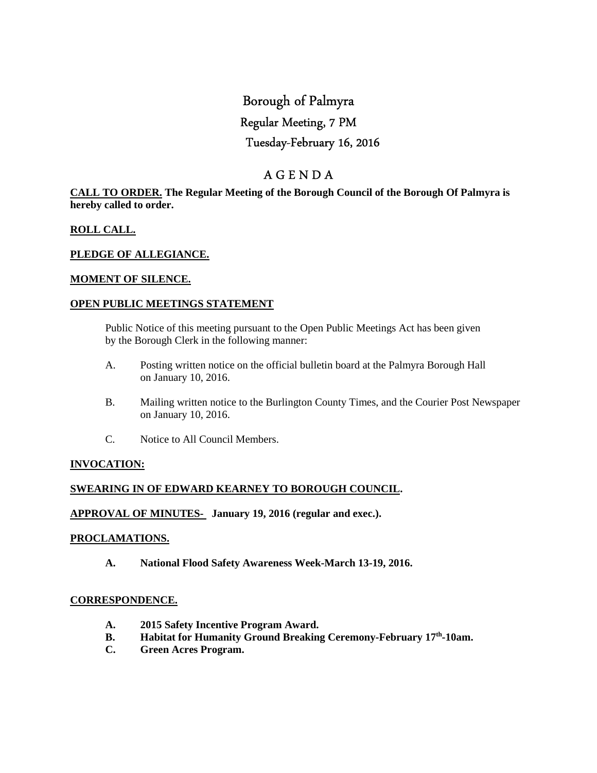# Borough of Palmyra

# Regular Meeting, 7 PM

# Tuesday-February 16, 2016

# A G E N D A

## **CALL TO ORDER. The Regular Meeting of the Borough Council of the Borough Of Palmyra is hereby called to order.**

# **ROLL CALL.**

# **PLEDGE OF ALLEGIANCE.**

# **MOMENT OF SILENCE.**

# **OPEN PUBLIC MEETINGS STATEMENT**

 Public Notice of this meeting pursuant to the Open Public Meetings Act has been given by the Borough Clerk in the following manner:

- A. Posting written notice on the official bulletin board at the Palmyra Borough Hall on January 10, 2016.
- B. Mailing written notice to the Burlington County Times, and the Courier Post Newspaper on January 10, 2016.
- C. Notice to All Council Members.

# **INVOCATION:**

# **SWEARING IN OF EDWARD KEARNEY TO BOROUGH COUNCIL.**

# **APPROVAL OF MINUTES- January 19, 2016 (regular and exec.).**

#### **PROCLAMATIONS.**

 **A. National Flood Safety Awareness Week-March 13-19, 2016.** 

# **CORRESPONDENCE.**

- **A. 2015 Safety Incentive Program Award.**
- **B. Habitat for Humanity Ground Breaking Ceremony-February 17th-10am.**
- **C. Green Acres Program.**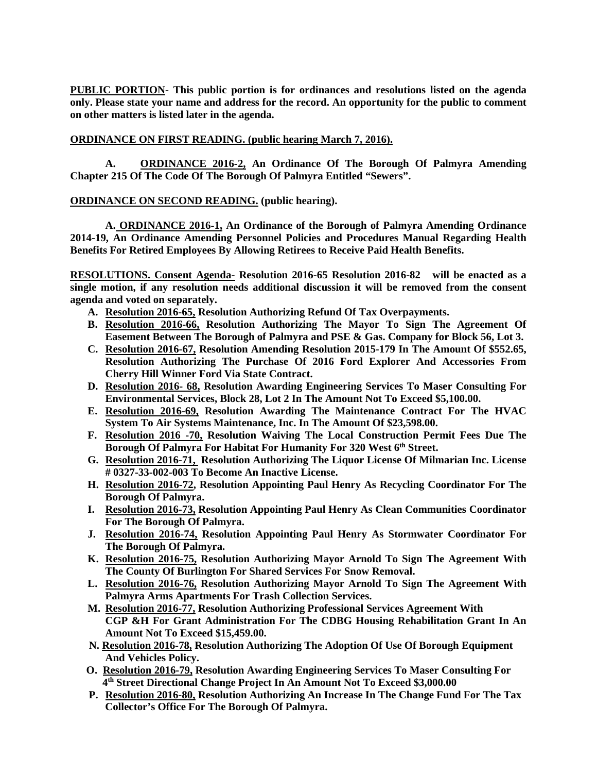**PUBLIC PORTION- This public portion is for ordinances and resolutions listed on the agenda only. Please state your name and address for the record. An opportunity for the public to comment on other matters is listed later in the agenda.** 

## **ORDINANCE ON FIRST READING. (public hearing March 7, 2016).**

 **A. ORDINANCE 2016-2, An Ordinance Of The Borough Of Palmyra Amending Chapter 215 Of The Code Of The Borough Of Palmyra Entitled "Sewers".** 

## **ORDINANCE ON SECOND READING. (public hearing).**

**A. ORDINANCE 2016-1, An Ordinance of the Borough of Palmyra Amending Ordinance 2014-19, An Ordinance Amending Personnel Policies and Procedures Manual Regarding Health Benefits For Retired Employees By Allowing Retirees to Receive Paid Health Benefits.** 

**RESOLUTIONS. Consent Agenda- Resolution 2016-65 Resolution 2016-82 will be enacted as a single motion, if any resolution needs additional discussion it will be removed from the consent agenda and voted on separately.** 

- **A. Resolution 2016-65, Resolution Authorizing Refund Of Tax Overpayments.**
- **B. Resolution 2016-66, Resolution Authorizing The Mayor To Sign The Agreement Of Easement Between The Borough of Palmyra and PSE & Gas. Company for Block 56, Lot 3.**
- **C. Resolution 2016-67, Resolution Amending Resolution 2015-179 In The Amount Of \$552.65, Resolution Authorizing The Purchase Of 2016 Ford Explorer And Accessories From Cherry Hill Winner Ford Via State Contract.**
- **D. Resolution 2016- 68, Resolution Awarding Engineering Services To Maser Consulting For Environmental Services, Block 28, Lot 2 In The Amount Not To Exceed \$5,100.00.**
- **E. Resolution 2016-69, Resolution Awarding The Maintenance Contract For The HVAC System To Air Systems Maintenance, Inc. In The Amount Of \$23,598.00.**
- **F. Resolution 2016 -70, Resolution Waiving The Local Construction Permit Fees Due The Borough Of Palmyra For Habitat For Humanity For 320 West 6th Street.**
- **G. Resolution 2016-71, Resolution Authorizing The Liquor License Of Milmarian Inc. License # 0327-33-002-003 To Become An Inactive License.**
- **H. Resolution 2016-72, Resolution Appointing Paul Henry As Recycling Coordinator For The Borough Of Palmyra.**
- **I. Resolution 2016-73, Resolution Appointing Paul Henry As Clean Communities Coordinator For The Borough Of Palmyra.**
- **J. Resolution 2016-74, Resolution Appointing Paul Henry As Stormwater Coordinator For The Borough Of Palmyra.**
- **K. Resolution 2016-75, Resolution Authorizing Mayor Arnold To Sign The Agreement With The County Of Burlington For Shared Services For Snow Removal.**
- **L. Resolution 2016-76, Resolution Authorizing Mayor Arnold To Sign The Agreement With Palmyra Arms Apartments For Trash Collection Services.**
- **M. Resolution 2016-77, Resolution Authorizing Professional Services Agreement With CGP &H For Grant Administration For The CDBG Housing Rehabilitation Grant In An Amount Not To Exceed \$15,459.00.**
- **N. Resolution 2016-78, Resolution Authorizing The Adoption Of Use Of Borough Equipment And Vehicles Policy.**
- **O. Resolution 2016-79, Resolution Awarding Engineering Services To Maser Consulting For 4th Street Directional Change Project In An Amount Not To Exceed \$3,000.00**
- **P. Resolution 2016-80, Resolution Authorizing An Increase In The Change Fund For The Tax Collector's Office For The Borough Of Palmyra.**